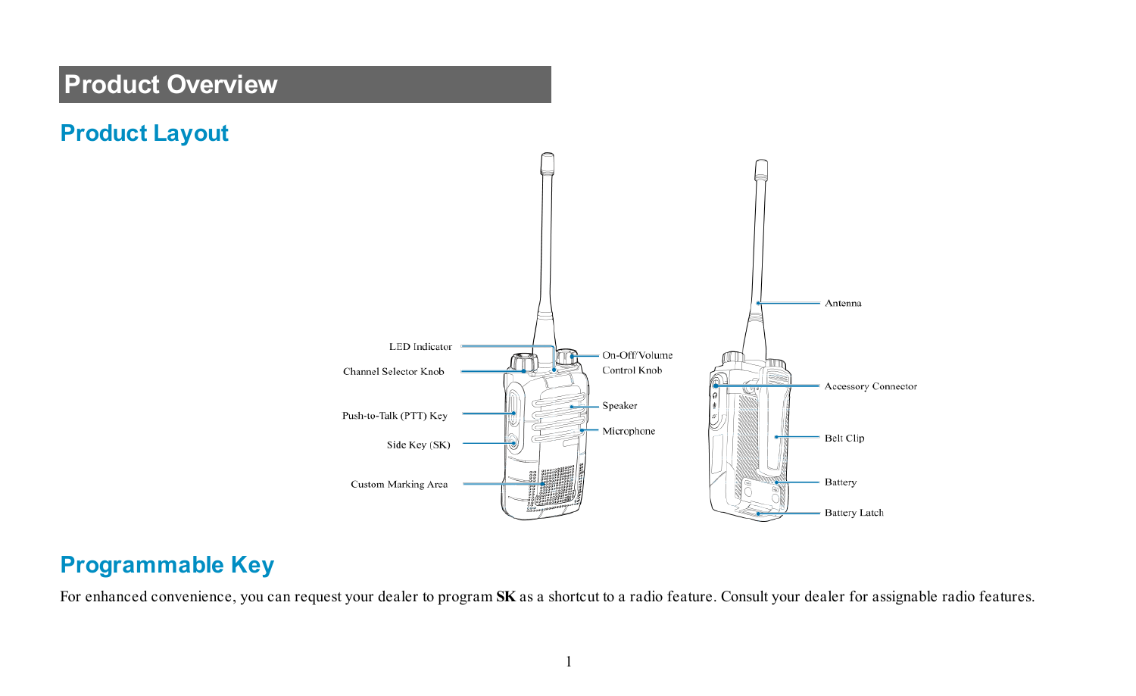# **Product Overview**





#### **Programmable Key**

For enhanced convenience, you can request your dealer to program **SK** as a shortcut to a radio feature. Consult your dealer for assignable radio features.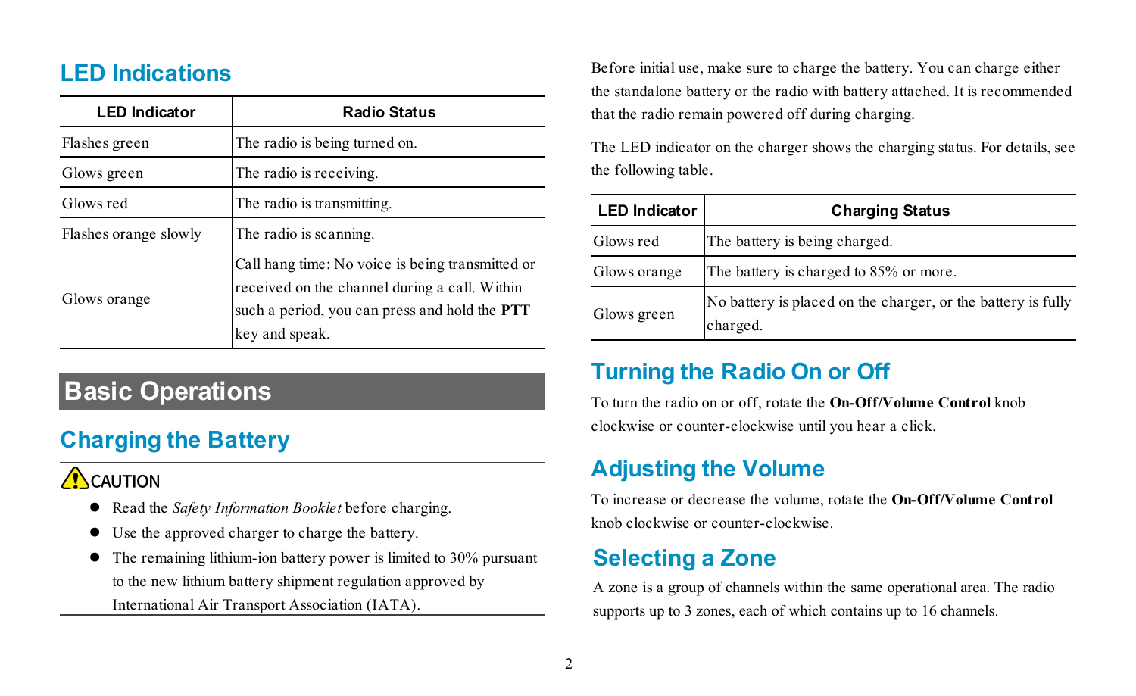#### **LED Indications**

| <b>LED</b> Indicator  | <b>Radio Status</b>                                                                                                                                                  |
|-----------------------|----------------------------------------------------------------------------------------------------------------------------------------------------------------------|
| Flashes green         | The radio is being turned on.                                                                                                                                        |
| Glows green           | The radio is receiving.                                                                                                                                              |
| Glows red             | The radio is transmitting.                                                                                                                                           |
| Flashes orange slowly | The radio is scanning.                                                                                                                                               |
| Glows orange          | Call hang time: No voice is being transmitted or<br>received on the channel during a call. Within<br>such a period, you can press and hold the PTT<br>key and speak. |

# **Basic Operations**

## **Charging the Battery**

## **A** CAUTION

- **•** Read the *Safety Information Booklet* before charging.
- $\bullet$  Use the approved charger to charge the battery.
- $\bullet$  The remaining lithium-ion battery power is limited to 30% pursuant to the new lithium battery shipment regulation approved by International Air Transport Association (IATA).

Before initial use, make sure to charge the battery. You can charge either the standalone battery or the radio with battery attached. It is recommended that the radio remain powered off during charging.

The LED indicator on the charger shows the charging status. For details, see the following table.

| <b>LED</b> Indicator | <b>Charging Status</b>                                                   |
|----------------------|--------------------------------------------------------------------------|
| Glows red            | The battery is being charged.                                            |
| Glows orange         | The battery is charged to 85% or more.                                   |
| Glows green          | No battery is placed on the charger, or the battery is fully<br>charged. |

#### **Turning the Radio On or Off**

To turn the radio on or off, rotate the **On-Off/Volume Control** knob clockwise or counter-clockwise until you hear a click.

# **Adjusting the Volume**

To increase or decrease the volume, rotate the **On-Off/Volume Control** knob clockwise or counter-clockwise.

## **Selecting a Zone**

A zone is a group of channels within the same operational area. The radio supports up to 3 zones, each of which contains up to 16 channels.